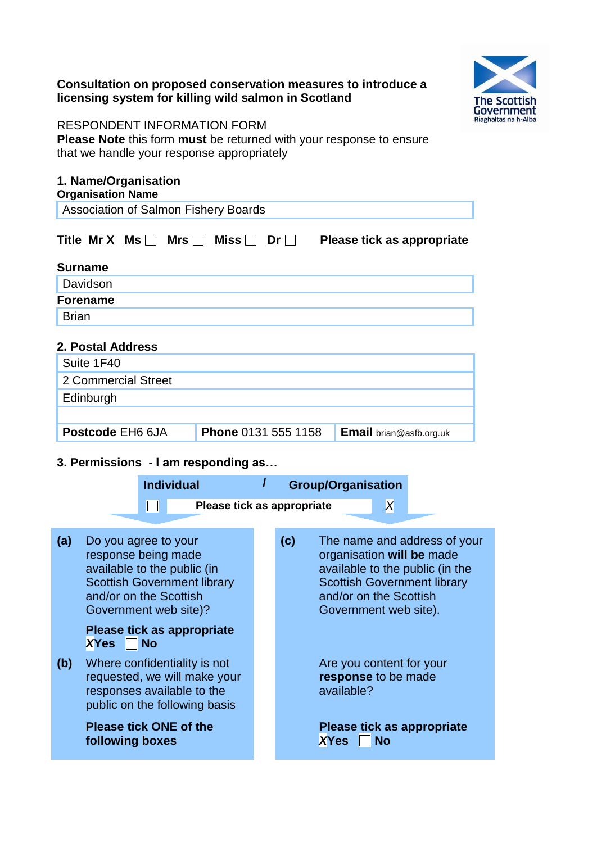## **Consultation on proposed conservation measures to introduce a licensing system for killing wild salmon in Scotland**



### RESPONDENT INFORMATION FORM

**Please Note** this form **must** be returned with your response to ensure that we handle your response appropriately

### **1. Name/Organisation Organisation Name**

| <b>Association of Salmon Fishery Boards</b> |  |  |  |
|---------------------------------------------|--|--|--|
|                                             |  |  |  |

|                |  |  | Title Mr X Ms $\Box$ Mrs $\Box$ Miss $\Box$ Dr $\Box$ Please tick as appropriate |
|----------------|--|--|----------------------------------------------------------------------------------|
| <b>Surname</b> |  |  |                                                                                  |

| <b>VALLIALILY</b> |  |  |  |
|-------------------|--|--|--|
| Davidson          |  |  |  |
| <b>Forename</b>   |  |  |  |
| <b>Brian</b>      |  |  |  |
|                   |  |  |  |

# **2. Postal Address**

| Suite 1F40          |                            |                         |
|---------------------|----------------------------|-------------------------|
| 2 Commercial Street |                            |                         |
| Edinburgh           |                            |                         |
|                     |                            |                         |
| Postcode EH6 6JA    | <b>Phone 0131 555 1158</b> | Email brian@asfb.org.uk |
|                     |                            |                         |

# **3. Permissions - I am responding as…**

|     |                                                                                                                               | <b>Individual</b> |                                                                                               |     | <b>Group/Organisation</b>                                                    |           |                                                                                                       |
|-----|-------------------------------------------------------------------------------------------------------------------------------|-------------------|-----------------------------------------------------------------------------------------------|-----|------------------------------------------------------------------------------|-----------|-------------------------------------------------------------------------------------------------------|
|     |                                                                                                                               |                   | Please tick as appropriate                                                                    |     |                                                                              | X         |                                                                                                       |
| (a) | Do you agree to your<br>response being made<br>available to the public (in<br>and/or on the Scottish<br>Government web site)? |                   | <b>Scottish Government library</b>                                                            | (c) | organisation will be made<br>and/or on the Scottish<br>Government web site). |           | The name and address of your<br>available to the public (in the<br><b>Scottish Government library</b> |
|     | <b>XYes</b>                                                                                                                   | <b>No</b>         | Please tick as appropriate                                                                    |     |                                                                              |           |                                                                                                       |
| (b) | responses available to the                                                                                                    |                   | Where confidentiality is not<br>requested, we will make your<br>public on the following basis |     | Are you content for your<br>response to be made<br>available?                |           |                                                                                                       |
|     | <b>Please tick ONE of the</b><br>following boxes                                                                              |                   |                                                                                               |     | <b>XYes</b>                                                                  | <b>No</b> | Please tick as appropriate                                                                            |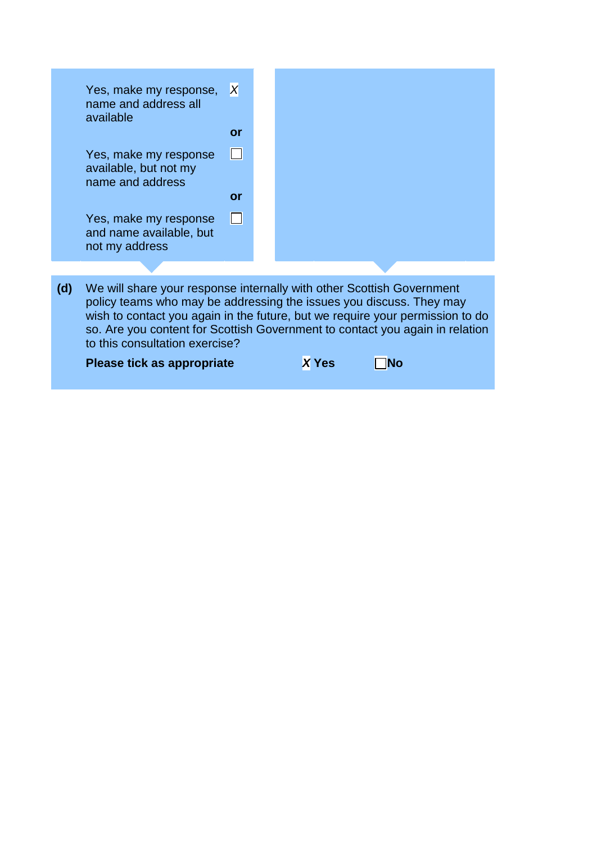|     | Yes, make my response,<br>name and address all<br>available                                                                                                                                                                                                                                                                                     | X<br><b>or</b> |  |  |              |  |  |  |
|-----|-------------------------------------------------------------------------------------------------------------------------------------------------------------------------------------------------------------------------------------------------------------------------------------------------------------------------------------------------|----------------|--|--|--------------|--|--|--|
|     | Yes, make my response<br>available, but not my<br>name and address                                                                                                                                                                                                                                                                              | <b>or</b>      |  |  |              |  |  |  |
|     | Yes, make my response<br>and name available, but<br>not my address                                                                                                                                                                                                                                                                              | l 1            |  |  |              |  |  |  |
|     |                                                                                                                                                                                                                                                                                                                                                 |                |  |  |              |  |  |  |
| (d) | We will share your response internally with other Scottish Government<br>policy teams who may be addressing the issues you discuss. They may<br>wish to contact you again in the future, but we require your permission to do<br>so. Are you content for Scottish Government to contact you again in relation<br>to this consultation exercise? |                |  |  |              |  |  |  |
|     | Please tick as appropriate                                                                                                                                                                                                                                                                                                                      |                |  |  | <b>X</b> Yes |  |  |  |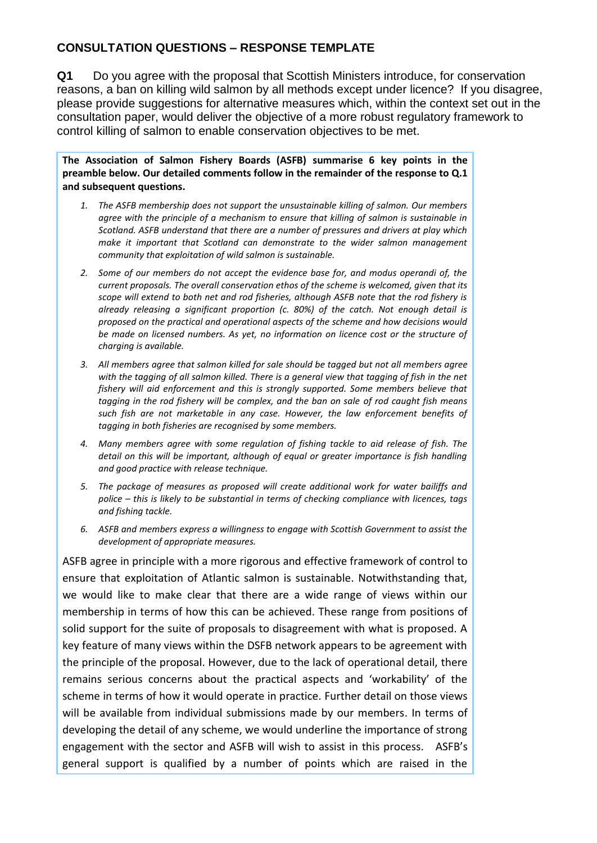## **CONSULTATION QUESTIONS – RESPONSE TEMPLATE**

**Q1** Do you agree with the proposal that Scottish Ministers introduce, for conservation reasons, a ban on killing wild salmon by all methods except under licence? If you disagree, please provide suggestions for alternative measures which, within the context set out in the consultation paper, would deliver the objective of a more robust regulatory framework to control killing of salmon to enable conservation objectives to be met.

**The Association of Salmon Fishery Boards (ASFB) summarise 6 key points in the preamble below. Our detailed comments follow in the remainder of the response to Q.1 and subsequent questions.**

- *1. The ASFB membership does not support the unsustainable killing of salmon. Our members agree with the principle of a mechanism to ensure that killing of salmon is sustainable in Scotland. ASFB understand that there are a number of pressures and drivers at play which make it important that Scotland can demonstrate to the wider salmon management community that exploitation of wild salmon is sustainable.*
- *2. Some of our members do not accept the evidence base for, and modus operandi of, the current proposals. The overall conservation ethos of the scheme is welcomed, given that its scope will extend to both net and rod fisheries, although ASFB note that the rod fishery is already releasing a significant proportion (c. 80%) of the catch. Not enough detail is proposed on the practical and operational aspects of the scheme and how decisions would be made on licensed numbers. As yet, no information on licence cost or the structure of charging is available.*
- *3. All members agree that salmon killed for sale should be tagged but not all members agree with the tagging of all salmon killed. There is a general view that tagging of fish in the net fishery will aid enforcement and this is strongly supported. Some members believe that tagging in the rod fishery will be complex, and the ban on sale of rod caught fish means such fish are not marketable in any case. However, the law enforcement benefits of tagging in both fisheries are recognised by some members.*
- *4. Many members agree with some regulation of fishing tackle to aid release of fish. The detail on this will be important, although of equal or greater importance is fish handling and good practice with release technique.*
- *5. The package of measures as proposed will create additional work for water bailiffs and police – this is likely to be substantial in terms of checking compliance with licences, tags and fishing tackle.*
- *6. ASFB and members express a willingness to engage with Scottish Government to assist the development of appropriate measures.*

ASFB agree in principle with a more rigorous and effective framework of control to ensure that exploitation of Atlantic salmon is sustainable. Notwithstanding that, we would like to make clear that there are a wide range of views within our membership in terms of how this can be achieved. These range from positions of solid support for the suite of proposals to disagreement with what is proposed. A key feature of many views within the DSFB network appears to be agreement with the principle of the proposal. However, due to the lack of operational detail, there remains serious concerns about the practical aspects and 'workability' of the scheme in terms of how it would operate in practice. Further detail on those views will be available from individual submissions made by our members. In terms of developing the detail of any scheme, we would underline the importance of strong engagement with the sector and ASFB will wish to assist in this process. ASFB's general support is qualified by a number of points which are raised in the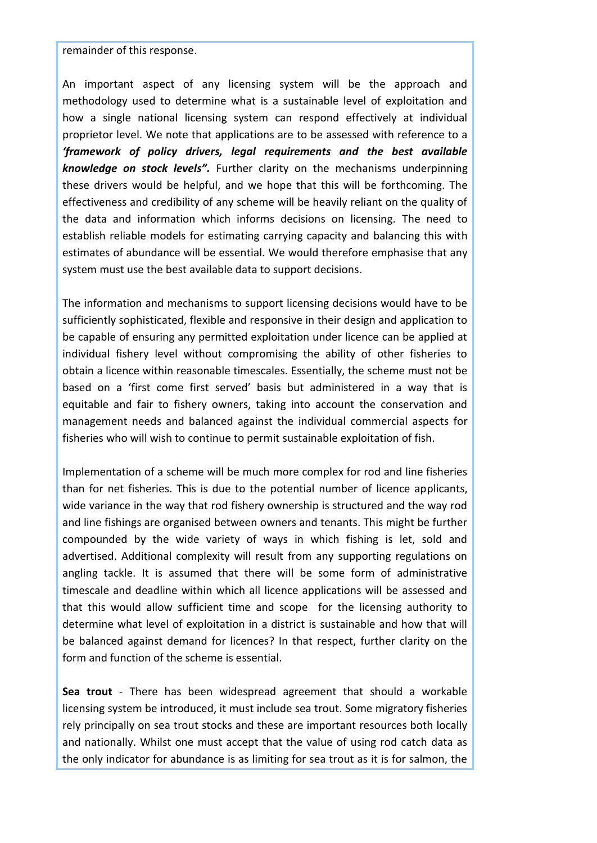remainder of this response.

An important aspect of any licensing system will be the approach and methodology used to determine what is a sustainable level of exploitation and how a single national licensing system can respond effectively at individual proprietor level. We note that applications are to be assessed with reference to a *'framework of policy drivers, legal requirements and the best available knowledge on stock levels".* Further clarity on the mechanisms underpinning these drivers would be helpful, and we hope that this will be forthcoming. The effectiveness and credibility of any scheme will be heavily reliant on the quality of the data and information which informs decisions on licensing. The need to establish reliable models for estimating carrying capacity and balancing this with estimates of abundance will be essential. We would therefore emphasise that any system must use the best available data to support decisions.

The information and mechanisms to support licensing decisions would have to be sufficiently sophisticated, flexible and responsive in their design and application to be capable of ensuring any permitted exploitation under licence can be applied at individual fishery level without compromising the ability of other fisheries to obtain a licence within reasonable timescales. Essentially, the scheme must not be based on a 'first come first served' basis but administered in a way that is equitable and fair to fishery owners, taking into account the conservation and management needs and balanced against the individual commercial aspects for fisheries who will wish to continue to permit sustainable exploitation of fish.

Implementation of a scheme will be much more complex for rod and line fisheries than for net fisheries. This is due to the potential number of licence applicants, wide variance in the way that rod fishery ownership is structured and the way rod and line fishings are organised between owners and tenants. This might be further compounded by the wide variety of ways in which fishing is let, sold and advertised. Additional complexity will result from any supporting regulations on angling tackle. It is assumed that there will be some form of administrative timescale and deadline within which all licence applications will be assessed and that this would allow sufficient time and scope for the licensing authority to determine what level of exploitation in a district is sustainable and how that will be balanced against demand for licences? In that respect, further clarity on the form and function of the scheme is essential.

**Sea trout** - There has been widespread agreement that should a workable licensing system be introduced, it must include sea trout. Some migratory fisheries rely principally on sea trout stocks and these are important resources both locally and nationally. Whilst one must accept that the value of using rod catch data as the only indicator for abundance is as limiting for sea trout as it is for salmon, the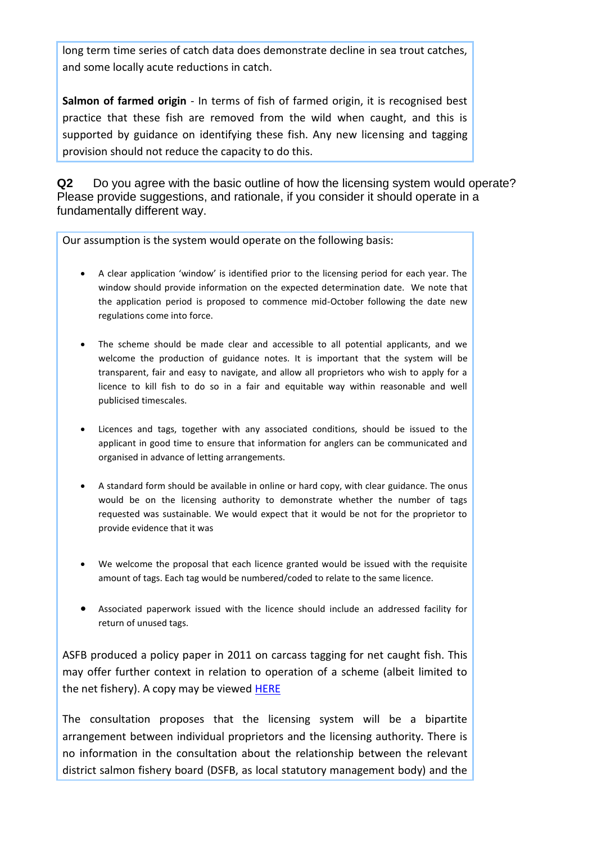long term time series of catch data does demonstrate decline in sea trout catches, and some locally acute reductions in catch.

**Salmon of farmed origin** - In terms of fish of farmed origin, it is recognised best practice that these fish are removed from the wild when caught, and this is supported by guidance on identifying these fish. Any new licensing and tagging provision should not reduce the capacity to do this.

**Q2** Do you agree with the basic outline of how the licensing system would operate? Please provide suggestions, and rationale, if you consider it should operate in a fundamentally different way.

Our assumption is the system would operate on the following basis:

- A clear application 'window' is identified prior to the licensing period for each year. The window should provide information on the expected determination date. We note that the application period is proposed to commence mid-October following the date new regulations come into force.
- The scheme should be made clear and accessible to all potential applicants, and we welcome the production of guidance notes. It is important that the system will be transparent, fair and easy to navigate, and allow all proprietors who wish to apply for a licence to kill fish to do so in a fair and equitable way within reasonable and well publicised timescales.
- Licences and tags, together with any associated conditions, should be issued to the applicant in good time to ensure that information for anglers can be communicated and organised in advance of letting arrangements.
- A standard form should be available in online or hard copy, with clear guidance. The onus would be on the licensing authority to demonstrate whether the number of tags requested was sustainable. We would expect that it would be not for the proprietor to provide evidence that it was
- We welcome the proposal that each licence granted would be issued with the requisite amount of tags. Each tag would be numbered/coded to relate to the same licence.
- Associated paperwork issued with the licence should include an addressed facility for return of unused tags.

ASFB produced a policy paper in 2011 on carcass tagging for net caught fish. This may offer further context in relation to operation of a scheme (albeit limited to the net fishery). A copy may be viewed **HERE** 

The consultation proposes that the licensing system will be a bipartite arrangement between individual proprietors and the licensing authority. There is no information in the consultation about the relationship between the relevant district salmon fishery board (DSFB, as local statutory management body) and the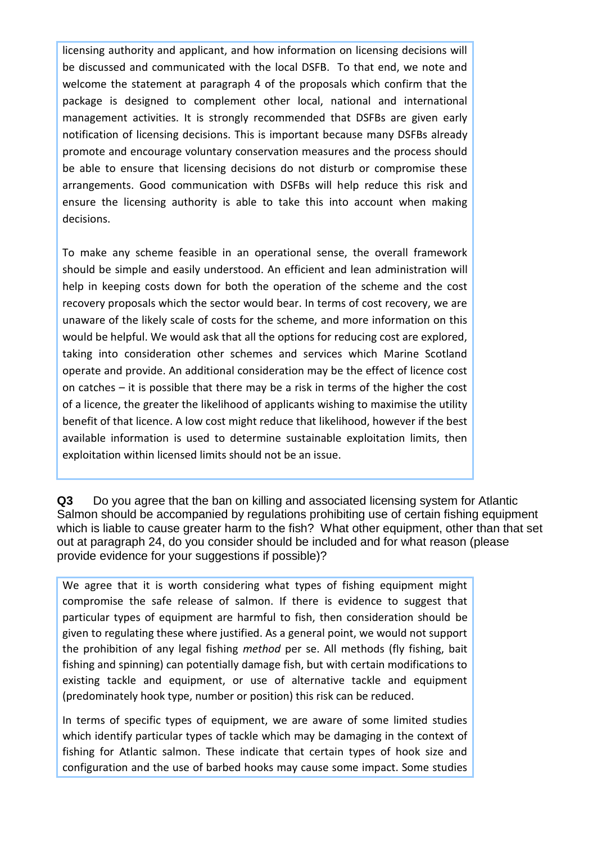licensing authority and applicant, and how information on licensing decisions will be discussed and communicated with the local DSFB. To that end, we note and welcome the statement at paragraph 4 of the proposals which confirm that the package is designed to complement other local, national and international management activities. It is strongly recommended that DSFBs are given early notification of licensing decisions. This is important because many DSFBs already promote and encourage voluntary conservation measures and the process should be able to ensure that licensing decisions do not disturb or compromise these arrangements. Good communication with DSFBs will help reduce this risk and ensure the licensing authority is able to take this into account when making decisions.

To make any scheme feasible in an operational sense, the overall framework should be simple and easily understood. An efficient and lean administration will help in keeping costs down for both the operation of the scheme and the cost recovery proposals which the sector would bear. In terms of cost recovery, we are unaware of the likely scale of costs for the scheme, and more information on this would be helpful. We would ask that all the options for reducing cost are explored, taking into consideration other schemes and services which Marine Scotland operate and provide. An additional consideration may be the effect of licence cost on catches – it is possible that there may be a risk in terms of the higher the cost of a licence, the greater the likelihood of applicants wishing to maximise the utility benefit of that licence. A low cost might reduce that likelihood, however if the best available information is used to determine sustainable exploitation limits, then exploitation within licensed limits should not be an issue.

**Q3** Do you agree that the ban on killing and associated licensing system for Atlantic Salmon should be accompanied by regulations prohibiting use of certain fishing equipment which is liable to cause greater harm to the fish? What other equipment, other than that set out at paragraph 24, do you consider should be included and for what reason (please provide evidence for your suggestions if possible)?

We agree that it is worth considering what types of fishing equipment might compromise the safe release of salmon. If there is evidence to suggest that particular types of equipment are harmful to fish, then consideration should be given to regulating these where justified. As a general point, we would not support the prohibition of any legal fishing *method* per se. All methods (fly fishing, bait fishing and spinning) can potentially damage fish, but with certain modifications to existing tackle and equipment, or use of alternative tackle and equipment (predominately hook type, number or position) this risk can be reduced.

In terms of specific types of equipment, we are aware of some limited studies which identify particular types of tackle which may be damaging in the context of fishing for Atlantic salmon. These indicate that certain types of hook size and configuration and the use of barbed hooks may cause some impact. Some studies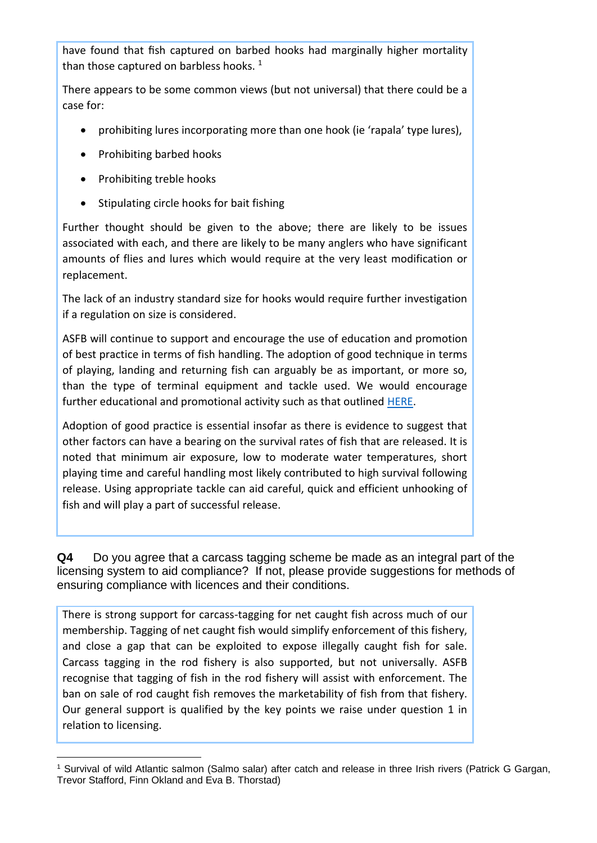have found that fish captured on barbed hooks had marginally higher mortality than those captured on barbless hooks.  $1$ 

There appears to be some common views (but not universal) that there could be a case for:

- prohibiting lures incorporating more than one hook (ie 'rapala' type lures),
- Prohibiting barbed hooks
- Prohibiting treble hooks
- Stipulating circle hooks for bait fishing

Further thought should be given to the above; there are likely to be issues associated with each, and there are likely to be many anglers who have significant amounts of flies and lures which would require at the very least modification or replacement.

The lack of an industry standard size for hooks would require further investigation if a regulation on size is considered.

ASFB will continue to support and encourage the use of education and promotion of best practice in terms of fish handling. The adoption of good technique in terms of playing, landing and returning fish can arguably be as important, or more so, than the type of terminal equipment and tackle used. We would encourage further educational and promotional activity such as that outlined [HERE.](http://www.asfb.org.uk/wp-content/uploads/2015/04/CR-leaflet-2013.pdf)

Adoption of good practice is essential insofar as there is evidence to suggest that other factors can have a bearing on the survival rates of fish that are released. It is noted that minimum air exposure, low to moderate water temperatures, short playing time and careful handling most likely contributed to high survival following release. Using appropriate tackle can aid careful, quick and efficient unhooking of fish and will play a part of successful release.

**Q4** Do you agree that a carcass tagging scheme be made as an integral part of the licensing system to aid compliance? If not, please provide suggestions for methods of ensuring compliance with licences and their conditions.

There is strong support for carcass-tagging for net caught fish across much of our membership. Tagging of net caught fish would simplify enforcement of this fishery, and close a gap that can be exploited to expose illegally caught fish for sale. Carcass tagging in the rod fishery is also supported, but not universally. ASFB recognise that tagging of fish in the rod fishery will assist with enforcement. The ban on sale of rod caught fish removes the marketability of fish from that fishery. Our general support is qualified by the key points we raise under question 1 in relation to licensing.

l <sup>1</sup> Survival of wild Atlantic salmon (Salmo salar) after catch and release in three Irish rivers (Patrick G Gargan, Trevor Stafford, Finn Okland and Eva B. Thorstad)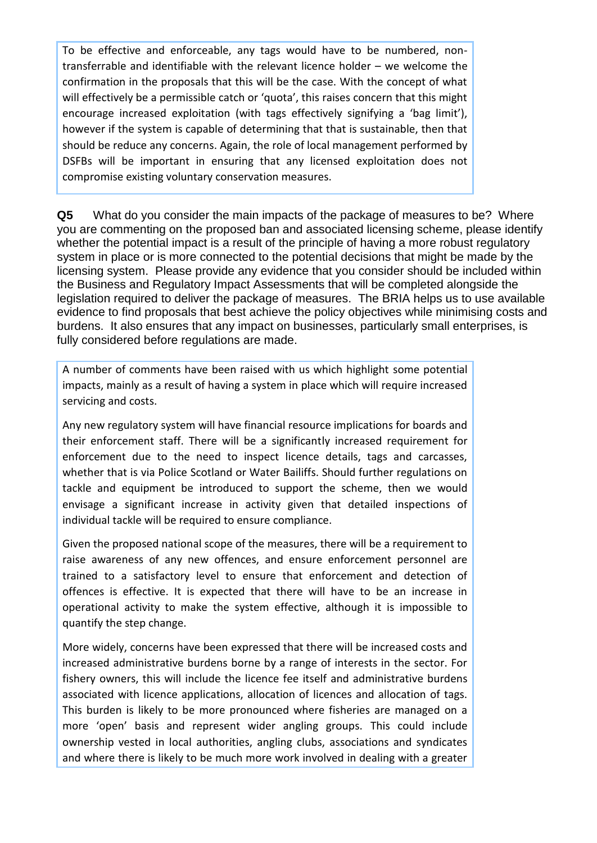To be effective and enforceable, any tags would have to be numbered, nontransferrable and identifiable with the relevant licence holder – we welcome the confirmation in the proposals that this will be the case. With the concept of what will effectively be a permissible catch or 'quota', this raises concern that this might encourage increased exploitation (with tags effectively signifying a 'bag limit'), however if the system is capable of determining that that is sustainable, then that should be reduce any concerns. Again, the role of local management performed by DSFBs will be important in ensuring that any licensed exploitation does not compromise existing voluntary conservation measures.

**Q5** What do you consider the main impacts of the package of measures to be? Where you are commenting on the proposed ban and associated licensing scheme, please identify whether the potential impact is a result of the principle of having a more robust regulatory system in place or is more connected to the potential decisions that might be made by the licensing system. Please provide any evidence that you consider should be included within the Business and Regulatory Impact Assessments that will be completed alongside the legislation required to deliver the package of measures. The BRIA helps us to use available evidence to find proposals that best achieve the policy objectives while minimising costs and burdens. It also ensures that any impact on businesses, particularly small enterprises, is fully considered before regulations are made.

A number of comments have been raised with us which highlight some potential impacts, mainly as a result of having a system in place which will require increased servicing and costs.

Any new regulatory system will have financial resource implications for boards and their enforcement staff. There will be a significantly increased requirement for enforcement due to the need to inspect licence details, tags and carcasses, whether that is via Police Scotland or Water Bailiffs. Should further regulations on tackle and equipment be introduced to support the scheme, then we would envisage a significant increase in activity given that detailed inspections of individual tackle will be required to ensure compliance.

Given the proposed national scope of the measures, there will be a requirement to raise awareness of any new offences, and ensure enforcement personnel are trained to a satisfactory level to ensure that enforcement and detection of offences is effective. It is expected that there will have to be an increase in operational activity to make the system effective, although it is impossible to quantify the step change.

More widely, concerns have been expressed that there will be increased costs and increased administrative burdens borne by a range of interests in the sector. For fishery owners, this will include the licence fee itself and administrative burdens associated with licence applications, allocation of licences and allocation of tags. This burden is likely to be more pronounced where fisheries are managed on a more 'open' basis and represent wider angling groups. This could include ownership vested in local authorities, angling clubs, associations and syndicates and where there is likely to be much more work involved in dealing with a greater